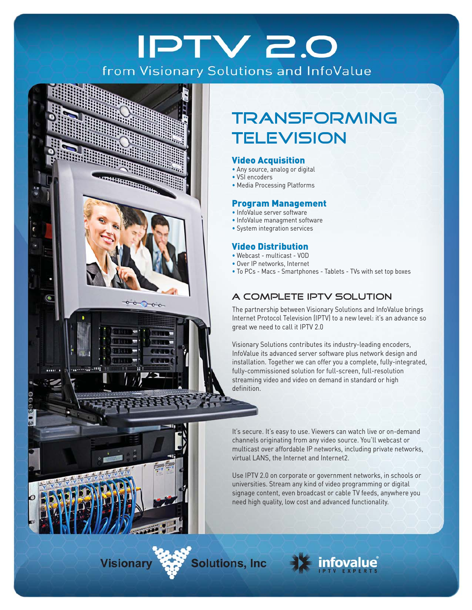# **IPTV 2.0** from Visionary Solutions and InfoValue



# **TRANSFORMING TELEVISION**

### Video Acquisition

- Any source, analog or digital
- VSI encoders
- Media Processing Platforms

#### Program Management

- InfoValue server software
- InfoValue managment software
- System integration services

### Video Distribution

- Webcast multicast VOD
- Over IP networks, Internet
- To PCs Macs Smartphones Tablets TVs with set top boxes

## A Complete IPTV Solution

The partnership between Visionary Solutions and InfoValue brings Internet Protocol Television (IPTV) to a new level: it's an advance so great we need to call it IPTV 2.0

Visionary Solutions contributes its industry-leading encoders, InfoValue its advanced server software plus network design and installation. Together we can offer you a complete, fully-integrated, fully-commissioned solution for full-screen, full-resolution streaming video and video on demand in standard or high definition.

It's secure. It's easy to use. Viewers can watch live or on-demand channels originating from any video source. You'll webcast or multicast over affordable IP networks, including private networks, virtual LANS, the Internet and Internet2.

Use IPTV 2.0 on corporate or government networks, in schools or universities. Stream any kind of video programming or digital signage content, even broadcast or cable TV feeds, anywhere you need high quality, low cost and advanced functionality.

**Visionary** 

**Solutions, Inc.**